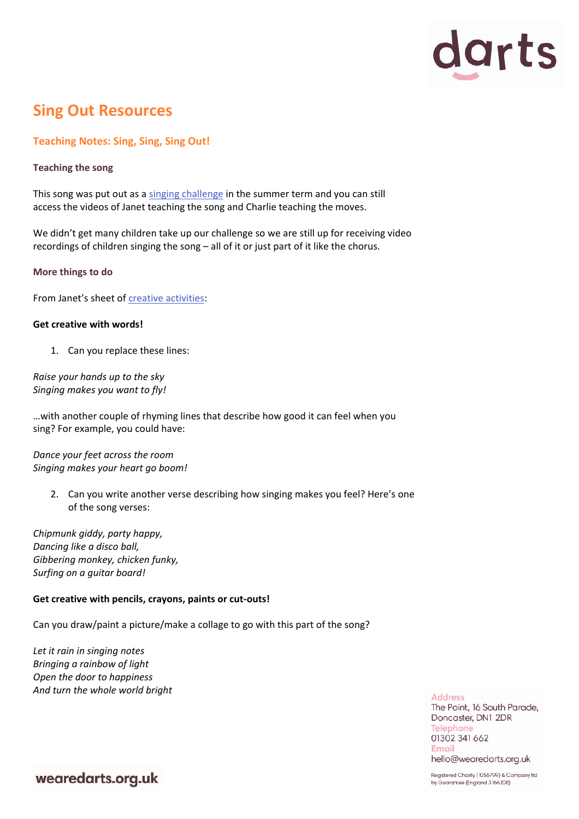

# **Sing Out Resources**

## **Teaching Notes: Sing, Sing, Sing Out!**

#### **Teaching the song**

This song was put out as a [singing challenge](https://thepoint.org.uk/sing-out-music-challenge/) in the summer term and you can still access the videos of Janet teaching the song and Charlie teaching the moves.

We didn't get many children take up our challenge so we are still up for receiving video recordings of children singing the song – all of it or just part of it like the chorus.

#### **More things to do**

From Janet's sheet of [creative activities:](https://thepoint.org.uk/wp-content/uploads/2020/06/Sing-Out-Creative-Activities.pdf)

#### **Get creative with words!**

1. Can you replace these lines:

*Raise your hands up to the sky Singing makes you want to fly!*

…with another couple of rhyming lines that describe how good it can feel when you sing? For example, you could have:

*Dance your feet across the room Singing makes your heart go boom!*

> 2. Can you write another verse describing how singing makes you feel? Here's one of the song verses:

*Chipmunk giddy, party happy, Dancing like a disco ball, Gibbering monkey, chicken funky, Surfing on a guitar board!*

#### **Get creative with pencils, crayons, paints or cut-outs!**

Can you draw/paint a picture/make a collage to go with this part of the song?

*Let it rain in singing notes Bringing a rainbow of light Open the door to happiness And turn the whole world bright*

**Address** The Point, 16 South Parade, Doncaster, DN1 2DR **Telephone** 01302 341 662 **Email** hello@wearedarts.org.uk

wearedarts.org.uk

Registered Charity (1056799) & Company Itd by Guarantee (England 3166208)